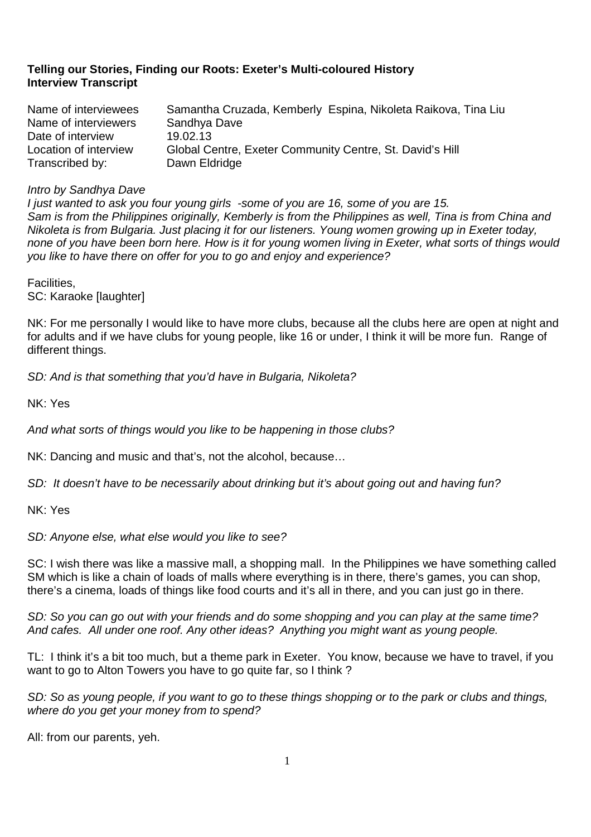# **Telling our Stories, Finding our Roots: Exeter's Multi-coloured History Interview Transcript**

| Name of interviewees  | Samantha Cruzada, Kemberly Espina, Nikoleta Raikova, Tina Liu |
|-----------------------|---------------------------------------------------------------|
| Name of interviewers  | Sandhya Dave                                                  |
| Date of interview     | 19.02.13                                                      |
| Location of interview | Global Centre, Exeter Community Centre, St. David's Hill      |
| Transcribed by:       | Dawn Eldridge                                                 |

# Intro by Sandhya Dave

I just wanted to ask you four young girls -some of you are 16, some of you are 15. Sam is from the Philippines originally, Kemberly is from the Philippines as well, Tina is from China and Nikoleta is from Bulgaria. Just placing it for our listeners. Young women growing up in Exeter today, none of you have been born here. How is it for young women living in Exeter, what sorts of things would you like to have there on offer for you to go and enjoy and experience?

Facilities, SC: Karaoke [laughter]

NK: For me personally I would like to have more clubs, because all the clubs here are open at night and for adults and if we have clubs for young people, like 16 or under, I think it will be more fun. Range of different things.

SD: And is that something that you'd have in Bulgaria, Nikoleta?

NK: Yes

And what sorts of things would you like to be happening in those clubs?

NK: Dancing and music and that's, not the alcohol, because…

SD: It doesn't have to be necessarily about drinking but it's about going out and having fun?

NK: Yes

SD: Anyone else, what else would you like to see?

SC: I wish there was like a massive mall, a shopping mall. In the Philippines we have something called SM which is like a chain of loads of malls where everything is in there, there's games, you can shop, there's a cinema, loads of things like food courts and it's all in there, and you can just go in there.

SD: So you can go out with your friends and do some shopping and you can play at the same time? And cafes. All under one roof. Any other ideas? Anything you might want as young people.

TL: I think it's a bit too much, but a theme park in Exeter. You know, because we have to travel, if you want to go to Alton Towers you have to go quite far, so I think ?

SD: So as young people, if you want to go to these things shopping or to the park or clubs and things, where do you get your money from to spend?

All: from our parents, yeh.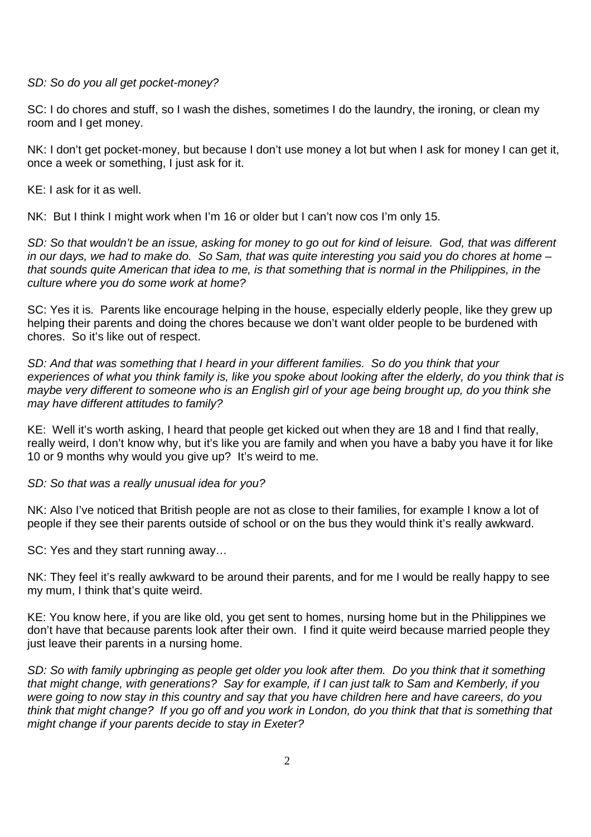SD: So do you all get pocket-money?

SC: I do chores and stuff, so I wash the dishes, sometimes I do the laundry, the ironing, or clean my room and I get money.

NK: I don't get pocket-money, but because I don't use money a lot but when I ask for money I can get it, once a week or something, I just ask for it.

KE: I ask for it as well.

NK: But I think I might work when I'm 16 or older but I can't now cos I'm only 15.

SD: So that wouldn't be an issue, asking for money to go out for kind of leisure. God, that was different in our days, we had to make do. So Sam, that was quite interesting you said you do chores at home – that sounds quite American that idea to me, is that something that is normal in the Philippines, in the culture where you do some work at home?

SC: Yes it is. Parents like encourage helping in the house, especially elderly people, like they grew up helping their parents and doing the chores because we don't want older people to be burdened with chores. So it's like out of respect.

SD: And that was something that I heard in your different families. So do you think that your experiences of what you think family is, like you spoke about looking after the elderly, do you think that is maybe very different to someone who is an English girl of your age being brought up, do you think she may have different attitudes to family?

KE: Well it's worth asking, I heard that people get kicked out when they are 18 and I find that really, really weird, I don't know why, but it's like you are family and when you have a baby you have it for like 10 or 9 months why would you give up? It's weird to me.

SD: So that was a really unusual idea for you?

NK: Also I've noticed that British people are not as close to their families, for example I know a lot of people if they see their parents outside of school or on the bus they would think it's really awkward.

SC: Yes and they start running away…

NK: They feel it's really awkward to be around their parents, and for me I would be really happy to see my mum, I think that's quite weird.

KE: You know here, if you are like old, you get sent to homes, nursing home but in the Philippines we don't have that because parents look after their own. I find it quite weird because married people they just leave their parents in a nursing home.

SD: So with family upbringing as people get older you look after them. Do you think that it something that might change, with generations? Say for example, if I can just talk to Sam and Kemberly, if you were going to now stay in this country and say that you have children here and have careers, do you think that might change? If you go off and you work in London, do you think that that is something that might change if your parents decide to stay in Exeter?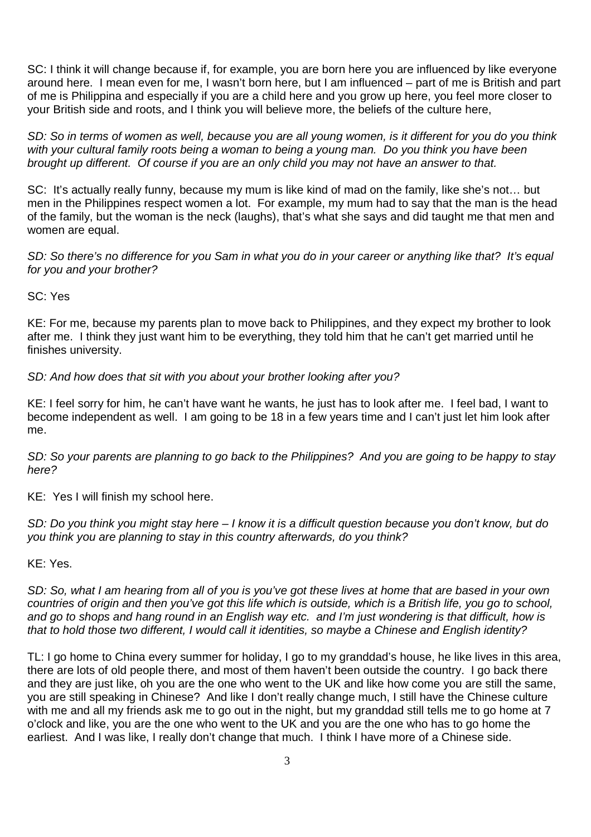SC: I think it will change because if, for example, you are born here you are influenced by like everyone around here. I mean even for me, I wasn't born here, but I am influenced – part of me is British and part of me is Philippina and especially if you are a child here and you grow up here, you feel more closer to your British side and roots, and I think you will believe more, the beliefs of the culture here,

SD: So in terms of women as well, because you are all young women, is it different for you do you think with your cultural family roots being a woman to being a young man. Do you think you have been brought up different. Of course if you are an only child you may not have an answer to that.

SC: It's actually really funny, because my mum is like kind of mad on the family, like she's not… but men in the Philippines respect women a lot. For example, my mum had to say that the man is the head of the family, but the woman is the neck (laughs), that's what she says and did taught me that men and women are equal.

SD: So there's no difference for you Sam in what you do in your career or anything like that? It's equal for you and your brother?

SC: Yes

KE: For me, because my parents plan to move back to Philippines, and they expect my brother to look after me. I think they just want him to be everything, they told him that he can't get married until he finishes university.

SD: And how does that sit with you about your brother looking after you?

KE: I feel sorry for him, he can't have want he wants, he just has to look after me. I feel bad, I want to become independent as well. I am going to be 18 in a few years time and I can't just let him look after me.

SD: So your parents are planning to go back to the Philippines? And you are going to be happy to stay here?

KE: Yes I will finish my school here.

SD: Do you think you might stay here – I know it is a difficult question because you don't know, but do you think you are planning to stay in this country afterwards, do you think?

KE: Yes.

SD: So, what I am hearing from all of you is you've got these lives at home that are based in your own countries of origin and then you've got this life which is outside, which is a British life, you go to school, and go to shops and hang round in an English way etc. and I'm just wondering is that difficult, how is that to hold those two different, I would call it identities, so maybe a Chinese and English identity?

TL: I go home to China every summer for holiday, I go to my granddad's house, he like lives in this area, there are lots of old people there, and most of them haven't been outside the country. I go back there and they are just like, oh you are the one who went to the UK and like how come you are still the same, you are still speaking in Chinese? And like I don't really change much, I still have the Chinese culture with me and all my friends ask me to go out in the night, but my granddad still tells me to go home at 7 o'clock and like, you are the one who went to the UK and you are the one who has to go home the earliest. And I was like, I really don't change that much. I think I have more of a Chinese side.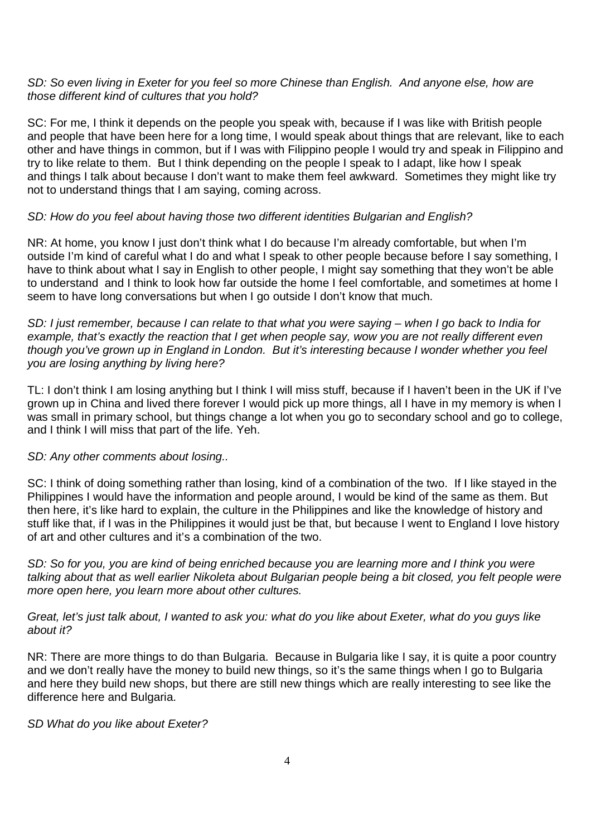### SD: So even living in Exeter for you feel so more Chinese than English. And anyone else, how are those different kind of cultures that you hold?

SC: For me, I think it depends on the people you speak with, because if I was like with British people and people that have been here for a long time, I would speak about things that are relevant, like to each other and have things in common, but if I was with Filippino people I would try and speak in Filippino and try to like relate to them. But I think depending on the people I speak to I adapt, like how I speak and things I talk about because I don't want to make them feel awkward. Sometimes they might like try not to understand things that I am saying, coming across.

# SD: How do you feel about having those two different identities Bulgarian and English?

NR: At home, you know I just don't think what I do because I'm already comfortable, but when I'm outside I'm kind of careful what I do and what I speak to other people because before I say something, I have to think about what I say in English to other people. I might say something that they won't be able to understand and I think to look how far outside the home I feel comfortable, and sometimes at home I seem to have long conversations but when I go outside I don't know that much.

SD: I just remember, because I can relate to that what you were saying – when I go back to India for example, that's exactly the reaction that I get when people say, wow you are not really different even though you've grown up in England in London. But it's interesting because I wonder whether you feel you are losing anything by living here?

TL: I don't think I am losing anything but I think I will miss stuff, because if I haven't been in the UK if I've grown up in China and lived there forever I would pick up more things, all I have in my memory is when I was small in primary school, but things change a lot when you go to secondary school and go to college, and I think I will miss that part of the life. Yeh.

# SD: Any other comments about losing..

SC: I think of doing something rather than losing, kind of a combination of the two. If I like stayed in the Philippines I would have the information and people around, I would be kind of the same as them. But then here, it's like hard to explain, the culture in the Philippines and like the knowledge of history and stuff like that, if I was in the Philippines it would just be that, but because I went to England I love history of art and other cultures and it's a combination of the two.

SD: So for you, you are kind of being enriched because you are learning more and I think you were talking about that as well earlier Nikoleta about Bulgarian people being a bit closed, you felt people were more open here, you learn more about other cultures.

Great, let's just talk about, I wanted to ask you: what do you like about Exeter, what do you guys like about it?

NR: There are more things to do than Bulgaria. Because in Bulgaria like I say, it is quite a poor country and we don't really have the money to build new things, so it's the same things when I go to Bulgaria and here they build new shops, but there are still new things which are really interesting to see like the difference here and Bulgaria.

### SD What do you like about Exeter?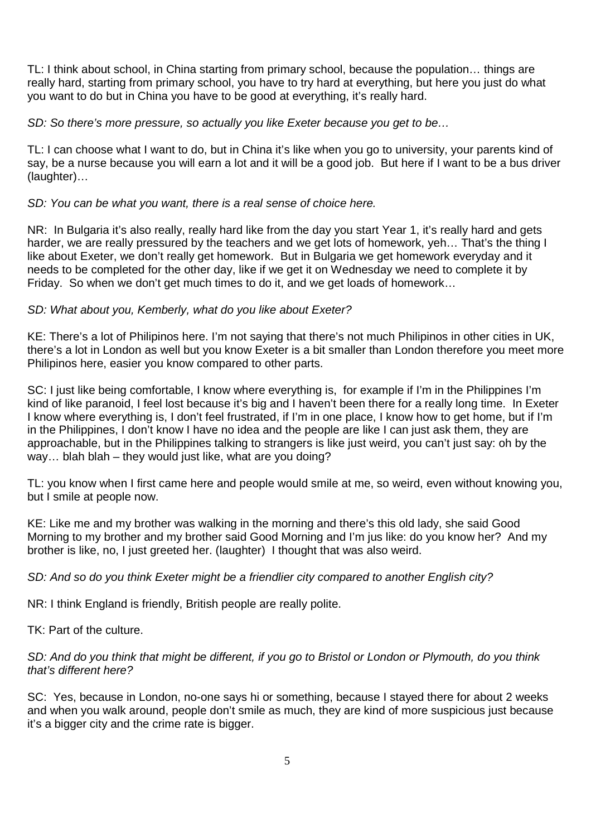TL: I think about school, in China starting from primary school, because the population… things are really hard, starting from primary school, you have to try hard at everything, but here you just do what you want to do but in China you have to be good at everything, it's really hard.

SD: So there's more pressure, so actually you like Exeter because you get to be...

TL: I can choose what I want to do, but in China it's like when you go to university, your parents kind of say, be a nurse because you will earn a lot and it will be a good job. But here if I want to be a bus driver (laughter)…

# SD: You can be what you want, there is a real sense of choice here.

NR: In Bulgaria it's also really, really hard like from the day you start Year 1, it's really hard and gets harder, we are really pressured by the teachers and we get lots of homework, yeh... That's the thing I like about Exeter, we don't really get homework. But in Bulgaria we get homework everyday and it needs to be completed for the other day, like if we get it on Wednesday we need to complete it by Friday. So when we don't get much times to do it, and we get loads of homework…

# SD: What about you, Kemberly, what do you like about Exeter?

KE: There's a lot of Philipinos here. I'm not saying that there's not much Philipinos in other cities in UK, there's a lot in London as well but you know Exeter is a bit smaller than London therefore you meet more Philipinos here, easier you know compared to other parts.

SC: I just like being comfortable, I know where everything is, for example if I'm in the Philippines I'm kind of like paranoid, I feel lost because it's big and I haven't been there for a really long time. In Exeter I know where everything is, I don't feel frustrated, if I'm in one place, I know how to get home, but if I'm in the Philippines, I don't know I have no idea and the people are like I can just ask them, they are approachable, but in the Philippines talking to strangers is like just weird, you can't just say: oh by the way... blah blah – they would just like, what are you doing?

TL: you know when I first came here and people would smile at me, so weird, even without knowing you, but I smile at people now.

KE: Like me and my brother was walking in the morning and there's this old lady, she said Good Morning to my brother and my brother said Good Morning and I'm jus like: do you know her? And my brother is like, no, I just greeted her. (laughter) I thought that was also weird.

### SD: And so do you think Exeter might be a friendlier city compared to another English city?

NR: I think England is friendly, British people are really polite.

TK: Part of the culture.

# SD: And do you think that might be different, if you go to Bristol or London or Plymouth, do you think that's different here?

SC: Yes, because in London, no-one says hi or something, because I stayed there for about 2 weeks and when you walk around, people don't smile as much, they are kind of more suspicious just because it's a bigger city and the crime rate is bigger.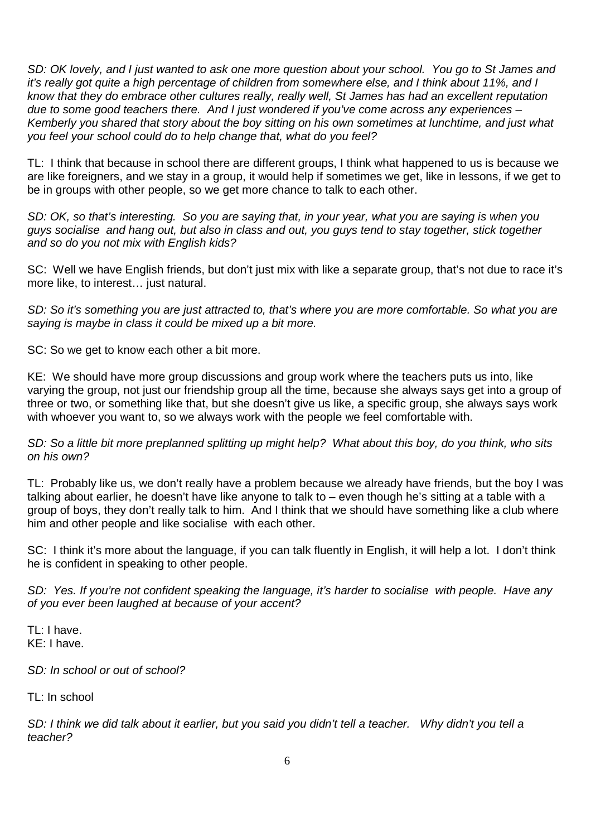SD: OK lovely, and I just wanted to ask one more question about your school. You go to St James and it's really got quite a high percentage of children from somewhere else, and I think about 11%, and I know that they do embrace other cultures really, really well, St James has had an excellent reputation due to some good teachers there. And I just wondered if you've come across any experiences – Kemberly you shared that story about the boy sitting on his own sometimes at lunchtime, and just what you feel your school could do to help change that, what do you feel?

TL: I think that because in school there are different groups, I think what happened to us is because we are like foreigners, and we stay in a group, it would help if sometimes we get, like in lessons, if we get to be in groups with other people, so we get more chance to talk to each other.

SD: OK, so that's interesting. So you are saying that, in your year, what you are saying is when you guys socialise and hang out, but also in class and out, you guys tend to stay together, stick together and so do you not mix with English kids?

SC: Well we have English friends, but don't just mix with like a separate group, that's not due to race it's more like, to interest… just natural.

SD: So it's something you are just attracted to, that's where you are more comfortable. So what you are saying is maybe in class it could be mixed up a bit more.

SC: So we get to know each other a bit more.

KE: We should have more group discussions and group work where the teachers puts us into, like varying the group, not just our friendship group all the time, because she always says get into a group of three or two, or something like that, but she doesn't give us like, a specific group, she always says work with whoever you want to, so we always work with the people we feel comfortable with.

SD: So a little bit more preplanned splitting up might help? What about this boy, do you think, who sits on his own?

TL: Probably like us, we don't really have a problem because we already have friends, but the boy I was talking about earlier, he doesn't have like anyone to talk to – even though he's sitting at a table with a group of boys, they don't really talk to him. And I think that we should have something like a club where him and other people and like socialise with each other.

SC: I think it's more about the language, if you can talk fluently in English, it will help a lot. I don't think he is confident in speaking to other people.

SD: Yes. If you're not confident speaking the language, it's harder to socialise with people. Have any of you ever been laughed at because of your accent?

TL: I have. KE: I have.

SD: In school or out of school?

TL: In school

SD: I think we did talk about it earlier, but you said you didn't tell a teacher. Why didn't you tell a teacher?